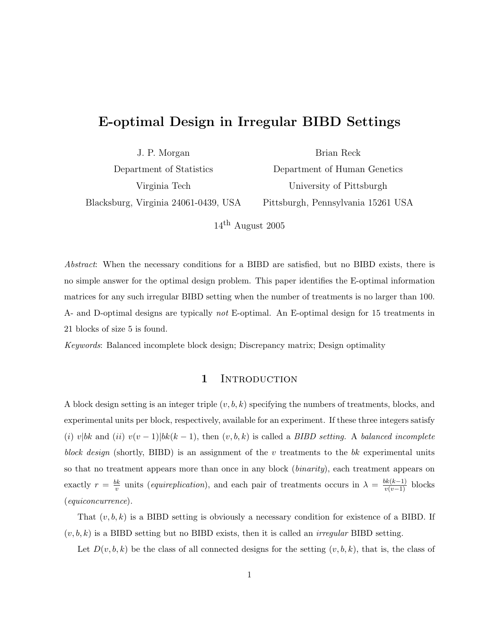# E-optimal Design in Irregular BIBD Settings

J. P. Morgan Department of Statistics Virginia Tech Blacksburg, Virginia 24061-0439, USA

Department of Human Genetics University of Pittsburgh Pittsburgh, Pennsylvania 15261 USA

Brian Reck

 $14^{\text{th}}$  August 2005

Abstract: When the necessary conditions for a BIBD are satisfied, but no BIBD exists, there is no simple answer for the optimal design problem. This paper identifies the E-optimal information matrices for any such irregular BIBD setting when the number of treatments is no larger than 100. A- and D-optimal designs are typically not E-optimal. An E-optimal design for 15 treatments in 21 blocks of size 5 is found.

Keywords: Balanced incomplete block design; Discrepancy matrix; Design optimality

### 1 INTRODUCTION

A block design setting is an integer triple  $(v, b, k)$  specifying the numbers of treatments, blocks, and experimental units per block, respectively, available for an experiment. If these three integers satisfy (i) v|bk and (ii) v(v - 1)|bk(k - 1), then  $(v, b, k)$  is called a BIBD setting. A balanced incomplete block design (shortly, BIBD) is an assignment of the  $v$  treatments to the bk experimental units so that no treatment appears more than once in any block *(binarity)*, each treatment appears on exactly  $r = \frac{bk}{n}$  $\frac{bk}{v}$  units (*equireplication*), and each pair of treatments occurs in  $\lambda = \frac{bk(k-1)}{v(v-1)}$  blocks (equiconcurrence).

That  $(v, b, k)$  is a BIBD setting is obviously a necessary condition for existence of a BIBD. If  $(v, b, k)$  is a BIBD setting but no BIBD exists, then it is called an *irregular* BIBD setting.

Let  $D(v, b, k)$  be the class of all connected designs for the setting  $(v, b, k)$ , that is, the class of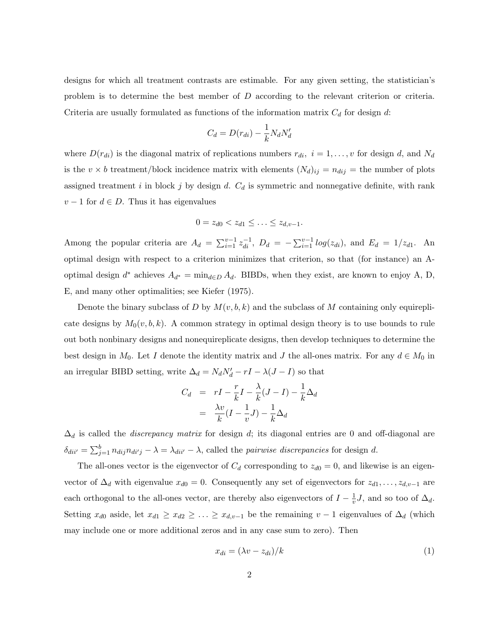designs for which all treatment contrasts are estimable. For any given setting, the statistician's problem is to determine the best member of  $D$  according to the relevant criterion or criteria. Criteria are usually formulated as functions of the information matrix  $C_d$  for design d:

$$
C_d = D(r_{di}) - \frac{1}{k} N_d N'_d
$$

where  $D(r_{di})$  is the diagonal matrix of replications numbers  $r_{di}$ ,  $i = 1, \ldots, v$  for design d, and  $N_d$ is the  $v \times b$  treatment/block incidence matrix with elements  $(N_d)_{ij} = n_{dij}$  = the number of plots assigned treatment i in block j by design d.  $C_d$  is symmetric and nonnegative definite, with rank  $v - 1$  for  $d \in D$ . Thus it has eigenvalues

$$
0 = z_{d0} < z_{d1} \leq \ldots \leq z_{d,v-1}.
$$

Among the popular criteria are  $A_d = \sum_{i=1}^{v-1} z_{di}^{-1}$ ,  $D_d = -\sum_{i=1}^{v-1} log(z_{di})$ , and  $E_d = 1/z_{d1}$ . An optimal design with respect to a criterion minimizes that criterion, so that (for instance) an Aoptimal design  $d^*$  achieves  $A_{d^*} = \min_{d \in D} A_d$ . BIBDs, when they exist, are known to enjoy A, D, E, and many other optimalities; see Kiefer (1975).

Denote the binary subclass of D by  $M(v, b, k)$  and the subclass of M containing only equireplicate designs by  $M_0(v, b, k)$ . A common strategy in optimal design theory is to use bounds to rule out both nonbinary designs and nonequireplicate designs, then develop techniques to determine the best design in  $M_0$ . Let I denote the identity matrix and J the all-ones matrix. For any  $d \in M_0$  in an irregular BIBD setting, write  $\Delta_d = N_d N'_d - rI - \lambda (J - I)$  so that

$$
C_d = rI - \frac{r}{k}I - \frac{\lambda}{k}(J - I) - \frac{1}{k}\Delta_d
$$
  
= 
$$
\frac{\lambda v}{k}(I - \frac{1}{v}J) - \frac{1}{k}\Delta_d
$$

 $\Delta_d$  is called the *discrepancy matrix* for design d; its diagonal entries are 0 and off-diagonal are  $\delta_{dii'} = \sum_{j=1}^{b} n_{dij} n_{di'j} - \lambda = \lambda_{dii'} - \lambda$ , called the *pairwise discrepancies* for design d.

The all-ones vector is the eigenvector of  $C_d$  corresponding to  $z_{d0} = 0$ , and likewise is an eigenvector of  $\Delta_d$  with eigenvalue  $x_{d0} = 0$ . Consequently any set of eigenvectors for  $z_{d1}, \ldots, z_{d,v-1}$  are each orthogonal to the all-ones vector, are thereby also eigenvectors of  $I - \frac{1}{n}$  $\frac{1}{v}J$ , and so too of  $\Delta_d$ . Setting  $x_{d0}$  aside, let  $x_{d1} \geq x_{d2} \geq \ldots \geq x_{d,v-1}$  be the remaining  $v-1$  eigenvalues of  $\Delta_d$  (which may include one or more additional zeros and in any case sum to zero). Then

$$
x_{di} = (\lambda v - z_{di})/k \tag{1}
$$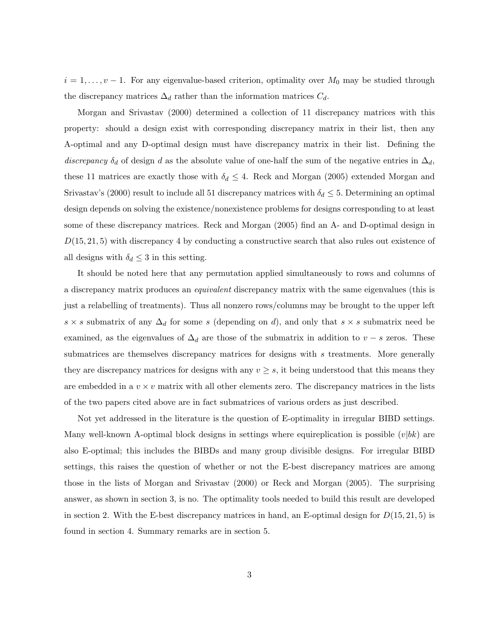$i = 1, \ldots, v - 1$ . For any eigenvalue-based criterion, optimality over  $M_0$  may be studied through the discrepancy matrices  $\Delta_d$  rather than the information matrices  $C_d$ .

Morgan and Srivastav (2000) determined a collection of 11 discrepancy matrices with this property: should a design exist with corresponding discrepancy matrix in their list, then any A-optimal and any D-optimal design must have discrepancy matrix in their list. Defining the discrepancy  $\delta_d$  of design d as the absolute value of one-half the sum of the negative entries in  $\Delta_d$ , these 11 matrices are exactly those with  $\delta_d \leq 4$ . Reck and Morgan (2005) extended Morgan and Srivastav's (2000) result to include all 51 discrepancy matrices with  $\delta_d \leq 5$ . Determining an optimal design depends on solving the existence/nonexistence problems for designs corresponding to at least some of these discrepancy matrices. Reck and Morgan (2005) find an A- and D-optimal design in  $D(15, 21, 5)$  with discrepancy 4 by conducting a constructive search that also rules out existence of all designs with  $\delta_d \leq 3$  in this setting.

It should be noted here that any permutation applied simultaneously to rows and columns of a discrepancy matrix produces an *equivalent* discrepancy matrix with the same eigenvalues (this is just a relabelling of treatments). Thus all nonzero rows/columns may be brought to the upper left s  $\times$  s submatrix of any  $\Delta_d$  for some s (depending on d), and only that s  $\times$  s submatrix need be examined, as the eigenvalues of  $\Delta_d$  are those of the submatrix in addition to  $v - s$  zeros. These submatrices are themselves discrepancy matrices for designs with s treatments. More generally they are discrepancy matrices for designs with any  $v \geq s$ , it being understood that this means they are embedded in a  $v \times v$  matrix with all other elements zero. The discrepancy matrices in the lists of the two papers cited above are in fact submatrices of various orders as just described.

Not yet addressed in the literature is the question of E-optimality in irregular BIBD settings. Many well-known A-optimal block designs in settings where equireplication is possible  $(v|bk)$  are also E-optimal; this includes the BIBDs and many group divisible designs. For irregular BIBD settings, this raises the question of whether or not the E-best discrepancy matrices are among those in the lists of Morgan and Srivastav (2000) or Reck and Morgan (2005). The surprising answer, as shown in section 3, is no. The optimality tools needed to build this result are developed in section 2. With the E-best discrepancy matrices in hand, an E-optimal design for  $D(15, 21, 5)$  is found in section 4. Summary remarks are in section 5.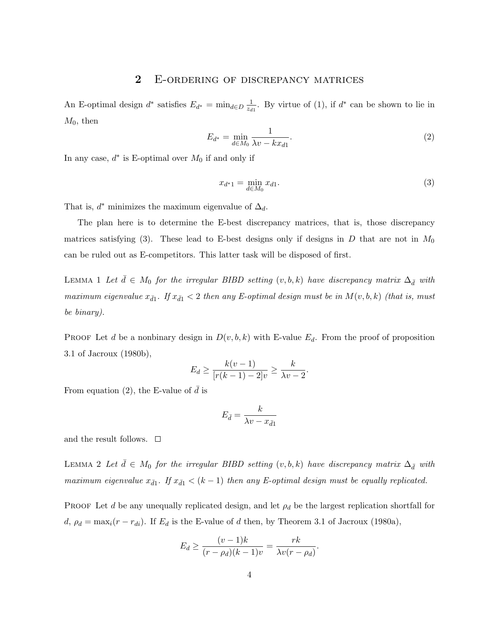### 2 E-ORDERING OF DISCREPANCY MATRICES

An E-optimal design  $d^*$  satisfies  $E_{d^*} = \min_{d \in D} \frac{1}{z_d}$  $\frac{1}{z_{d1}}$ . By virtue of (1), if  $d^*$  can be shown to lie in  $M_0$ , then

$$
E_{d^*} = \min_{d \in M_0} \frac{1}{\lambda v - kx_{d1}}.\tag{2}
$$

In any case,  $d^*$  is E-optimal over  $M_0$  if and only if

$$
x_{d^*1} = \min_{d \in M_0} x_{d1}.\tag{3}
$$

That is,  $d^*$  minimizes the maximum eigenvalue of  $\Delta_d$ .

The plan here is to determine the E-best discrepancy matrices, that is, those discrepancy matrices satisfying (3). These lead to E-best designs only if designs in  $D$  that are not in  $M_0$ can be ruled out as E-competitors. This latter task will be disposed of first.

LEMMA 1 Let  $\bar{d} \in M_0$  for the irregular BIBD setting  $(v, b, k)$  have discrepancy matrix  $\Delta_{\bar{d}}$  with maximum eigenvalue  $x_{\bar{d}1}$ . If  $x_{\bar{d}1} < 2$  then any E-optimal design must be in  $M(v, b, k)$  (that is, must be binary).

PROOF Let d be a nonbinary design in  $D(v, b, k)$  with E-value  $E_d$ . From the proof of proposition 3.1 of Jacroux (1980b),

$$
E_d \geq \frac{k(v-1)}{[r(k-1)-2]v} \geq \frac{k}{\lambda v - 2}.
$$

From equation (2), the E-value of  $\bar{d}$  is

$$
E_{\bar{d}} = \frac{k}{\lambda v - x_{\bar{d}1}}
$$

and the result follows.  $\Box$ 

LEMMA 2 Let  $\bar{d} \in M_0$  for the irregular BIBD setting  $(v, b, k)$  have discrepancy matrix  $\Delta_{\bar{d}}$  with maximum eigenvalue  $x_{\bar{d}1}$ . If  $x_{\bar{d}1} < (k-1)$  then any E-optimal design must be equally replicated.

PROOF Let d be any unequally replicated design, and let  $\rho_d$  be the largest replication shortfall for d,  $\rho_d = \max_i (r - r_{di})$ . If  $E_d$  is the E-value of d then, by Theorem 3.1 of Jacroux (1980a),

$$
E_d \ge \frac{(v-1)k}{(r-\rho_d)(k-1)v} = \frac{rk}{\lambda v(r-\rho_d)}.
$$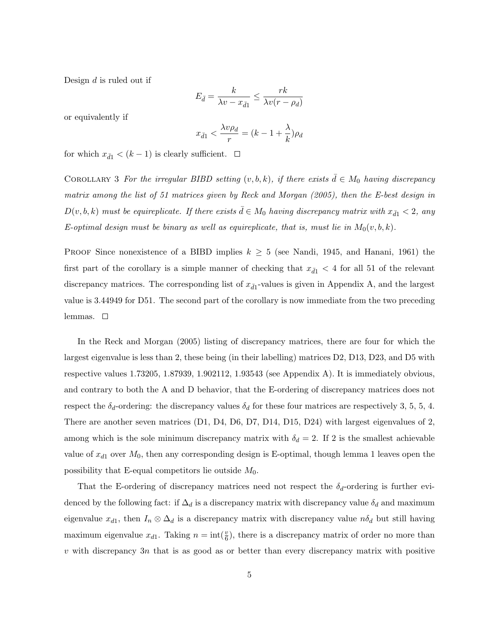Design  $d$  is ruled out if

$$
E_{\bar{d}} = \frac{k}{\lambda v - x_{\bar{d}1}} \le \frac{rk}{\lambda v(r - \rho_d)}
$$

or equivalently if

$$
x_{\bar{d}1} < \frac{\lambda v \rho_d}{r} = (k - 1 + \frac{\lambda}{k})\rho_d
$$

for which  $x_{\bar{d}1} < (k-1)$  is clearly sufficient.  $\Box$ 

COROLLARY 3 For the irregular BIBD setting  $(v, b, k)$ , if there exists  $\bar{d} \in M_0$  having discrepancy matrix among the list of 51 matrices given by Reck and Morgan (2005), then the E-best design in  $D(v, b, k)$  must be equireplicate. If there exists  $\bar{d} \in M_0$  having discrepancy matrix with  $x_{\bar{d}1} < 2$ , any E-optimal design must be binary as well as equireplicate, that is, must lie in  $M_0(v, b, k)$ .

Proof Since nonexistence of a BIBD implies  $k \geq 5$  (see Nandi, 1945, and Hanani, 1961) the first part of the corollary is a simple manner of checking that  $x_{\bar{d}1}$  < 4 for all 51 of the relevant discrepancy matrices. The corresponding list of  $x_{\bar{d}1}$ -values is given in Appendix A, and the largest value is 3.44949 for D51. The second part of the corollary is now immediate from the two preceding lemmas.  $\square$ 

In the Reck and Morgan (2005) listing of discrepancy matrices, there are four for which the largest eigenvalue is less than 2, these being (in their labelling) matrices D2, D13, D23, and D5 with respective values 1.73205, 1.87939, 1.902112, 1.93543 (see Appendix A). It is immediately obvious, and contrary to both the A and D behavior, that the E-ordering of discrepancy matrices does not respect the  $\delta_d$ -ordering: the discrepancy values  $\delta_d$  for these four matrices are respectively 3, 5, 5, 4. There are another seven matrices (D1, D4, D6, D7, D14, D15, D24) with largest eigenvalues of 2, among which is the sole minimum discrepancy matrix with  $\delta_d = 2$ . If 2 is the smallest achievable value of  $x_{d1}$  over  $M_0$ , then any corresponding design is E-optimal, though lemma 1 leaves open the possibility that E-equal competitors lie outside  $M_0$ .

That the E-ordering of discrepancy matrices need not respect the  $\delta_d$ -ordering is further evidenced by the following fact: if  $\Delta_d$  is a discrepancy matrix with discrepancy value  $\delta_d$  and maximum eigenvalue  $x_{d1}$ , then  $I_n \otimes \Delta_d$  is a discrepancy matrix with discrepancy value  $n\delta_d$  but still having maximum eigenvalue  $x_{d1}$ . Taking  $n = \text{int}(\frac{v}{6})$ , there is a discrepancy matrix of order no more than  $v$  with discrepancy 3n that is as good as or better than every discrepancy matrix with positive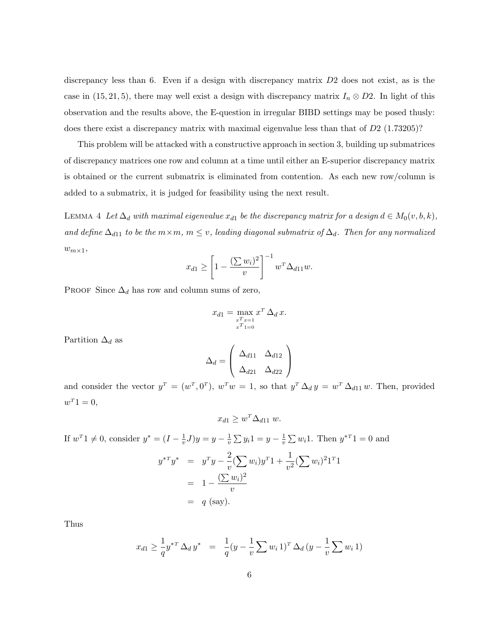discrepancy less than 6. Even if a design with discrepancy matrix D2 does not exist, as is the case in (15, 21, 5), there may well exist a design with discrepancy matrix  $I_n \otimes D2$ . In light of this observation and the results above, the E-question in irregular BIBD settings may be posed thusly: does there exist a discrepancy matrix with maximal eigenvalue less than that of D2 (1.73205)?

This problem will be attacked with a constructive approach in section 3, building up submatrices of discrepancy matrices one row and column at a time until either an E-superior discrepancy matrix is obtained or the current submatrix is eliminated from contention. As each new row/column is added to a submatrix, it is judged for feasibility using the next result.

LEMMA 4 Let  $\Delta_d$  with maximal eigenvalue  $x_{d1}$  be the discrepancy matrix for a design  $d \in M_0(v, b, k)$ , and define  $\Delta_{d11}$  to be the  $m \times m$ ,  $m \leq v$ , leading diagonal submatrix of  $\Delta_d$ . Then for any normalized  $w_{m\times 1}$ ,

$$
x_{d1} \ge \left[1 - \frac{\left(\sum w_i\right)^2}{v}\right]^{-1} w^T \Delta_{d11} w.
$$

PROOF Since  $\Delta_d$  has row and column sums of zero,

$$
x_{d1} = \max_{\substack{x^T x = 1 \\ x^T 1 = 0}} x^T \Delta_d x.
$$

Partition  $\Delta_d$  as

$$
\Delta_d = \begin{pmatrix} \Delta_{d11} & \Delta_{d12} \\ \Delta_{d21} & \Delta_{d22} \end{pmatrix}
$$

and consider the vector  $y^T = (w^T, 0^T)$ ,  $w^T w = 1$ , so that  $y^T \Delta_d y = w^T \Delta_{d11} w$ . Then, provided  $w^T 1 = 0,$ 

$$
x_{d1} \ge w^T \Delta_{d11} w.
$$

If  $w^T 1 \neq 0$ , consider  $y^* = (I - \frac{1}{w})$  $(\frac{1}{v}J)y = y - \frac{1}{v}$  $\frac{1}{v} \sum y_i 1 = y - \frac{1}{v}$  $\frac{1}{v} \sum w_i 1$ . Then  $y^{*T} 1 = 0$  and

$$
y^{*T}y^* = y^T y - \frac{2}{v} (\sum w_i)y^T 1 + \frac{1}{v^2} (\sum w_i)^2 1^T 1
$$
  
=  $1 - \frac{(\sum w_i)^2}{v}$   
=  $q$  (say).

Thus

$$
x_{d1} \ge \frac{1}{q} y^{*T} \Delta_d y^* = \frac{1}{q} (y - \frac{1}{v} \sum w_i 1)^T \Delta_d (y - \frac{1}{v} \sum w_i 1)
$$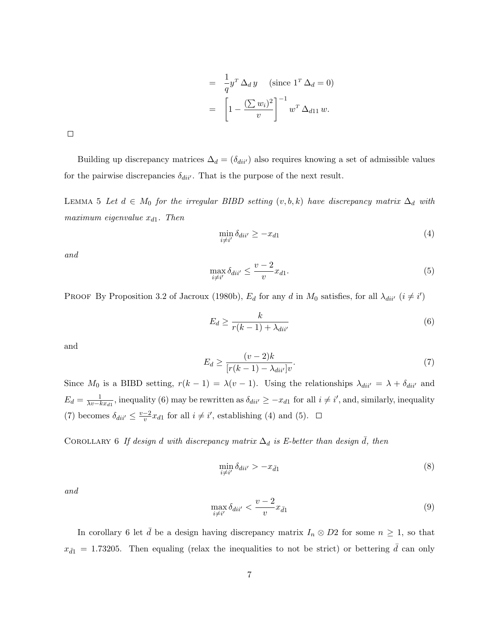$$
= \frac{1}{q} y^T \Delta_d y \quad \text{(since } 1^T \Delta_d = 0\text{)}
$$

$$
= \left[ 1 - \frac{\left(\sum w_i\right)^2}{v} \right]^{-1} w^T \Delta_{d11} w.
$$

 $\Box$ 

Building up discrepancy matrices  $\Delta_d = (\delta_{div})$  also requires knowing a set of admissible values for the pairwise discrepancies  $\delta_{diil'}$ . That is the purpose of the next result.

LEMMA 5 Let  $d \in M_0$  for the irregular BIBD setting  $(v, b, k)$  have discrepancy matrix  $\Delta_d$  with  $maximum\ eigenvalue$   $x_{d1}$ . Then

$$
\min_{i \neq i'} \delta_{dii'} \ge -x_{d1} \tag{4}
$$

and

$$
\max_{i \neq i'} \delta_{dii'} \leq \frac{v-2}{v} x_{d1}.\tag{5}
$$

PROOF By Proposition 3.2 of Jacroux (1980b),  $E_d$  for any d in  $M_0$  satisfies, for all  $\lambda_{di i'}$   $(i \neq i')$ 

$$
E_d \ge \frac{k}{r(k-1) + \lambda_{dii'}}\tag{6}
$$

and

$$
E_d \ge \frac{(v-2)k}{[r(k-1) - \lambda_{dii'}]v}.\tag{7}
$$

Since  $M_0$  is a BIBD setting,  $r(k-1) = \lambda(v-1)$ . Using the relationships  $\lambda_{dii'} = \lambda + \delta_{dii'}$  and  $E_d = \frac{1}{\lambda v - k}$  $\frac{1}{\lambda v - kx_{d1}}$ , inequality (6) may be rewritten as  $\delta_{dii'} \geq -x_{d1}$  for all  $i \neq i'$ , and, similarly, inequality (7) becomes  $\delta_{dii'} \leq \frac{v-2}{v}$  $\frac{-2}{v}x_{d1}$  for all  $i \neq i'$ , establishing (4) and (5).

COROLLARY 6 If design d with discrepancy matrix  $\Delta_d$  is E-better than design d, then

$$
\min_{i \neq i'} \delta_{dii'} > -x_{\bar{d}1} \tag{8}
$$

and

$$
\max_{i \neq i'} \delta_{dii'} < \frac{v-2}{v} x_{\bar{d}1} \tag{9}
$$

In corollary 6 let  $\bar{d}$  be a design having discrepancy matrix  $I_n \otimes D2$  for some  $n \geq 1$ , so that  $x_{\bar{d}1} = 1.73205$ . Then equaling (relax the inequalities to not be strict) or bettering  $\bar{d}$  can only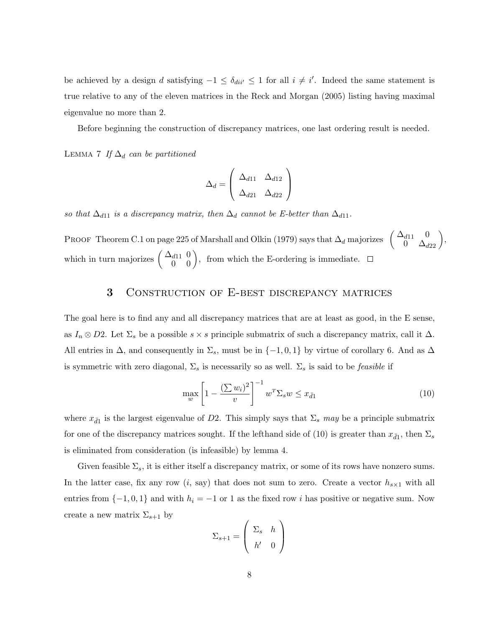be achieved by a design d satisfying  $-1 \leq \delta_{di'}/2$  1 for all  $i \neq i'$ . Indeed the same statement is true relative to any of the eleven matrices in the Reck and Morgan (2005) listing having maximal eigenvalue no more than 2.

Before beginning the construction of discrepancy matrices, one last ordering result is needed.

LEMMA 7 If  $\Delta_d$  can be partitioned

$$
\Delta_d = \begin{pmatrix} \Delta_{d11} & \Delta_{d12} \\ \Delta_{d21} & \Delta_{d22} \end{pmatrix}
$$

so that  $\Delta_{d11}$  is a discrepancy matrix, then  $\Delta_d$  cannot be E-better than  $\Delta_{d11}$ .

PROOF Theorem C.1 on page 225 of Marshall and Olkin (1979) says that  $\Delta_d$  majorizes  $\begin{pmatrix} \Delta_{d11} & 0 \\ 0 & \Delta_{d22} \end{pmatrix}$ which in turn majorizes  $\begin{pmatrix} \Delta_{d11} & 0 \\ 0 & 0 \end{pmatrix}$ , from which the E-ordering is immediate.

## 3 Construction of E-best discrepancy matrices

The goal here is to find any and all discrepancy matrices that are at least as good, in the E sense, as  $I_n \otimes D2$ . Let  $\Sigma_s$  be a possible  $s \times s$  principle submatrix of such a discrepancy matrix, call it  $\Delta$ . All entries in  $\Delta$ , and consequently in  $\Sigma_s$ , must be in  $\{-1,0,1\}$  by virtue of corollary 6. And as  $\Delta$ is symmetric with zero diagonal,  $\Sigma_s$  is necessarily so as well.  $\Sigma_s$  is said to be *feasible* if

$$
\max_{w} \left[ 1 - \frac{\left(\sum w_i\right)^2}{v} \right]^{-1} w^T \Sigma_s w \le x_{\bar{d}1} \tag{10}
$$

where  $x_{\bar{d}1}$  is the largest eigenvalue of D2. This simply says that  $\Sigma_s$  may be a principle submatrix for one of the discrepancy matrices sought. If the lefthand side of (10) is greater than  $x_{\bar{d}1}$ , then  $\Sigma_s$ is eliminated from consideration (is infeasible) by lemma 4.

Given feasible  $\Sigma_s$ , it is either itself a discrepancy matrix, or some of its rows have nonzero sums. In the latter case, fix any row  $(i, say)$  that does not sum to zero. Create a vector  $h_{s\times 1}$  with all entries from  $\{-1, 0, 1\}$  and with  $h_i = -1$  or 1 as the fixed row i has positive or negative sum. Now create a new matrix  $\Sigma_{s+1}$  by  $\overline{\phantom{a}}$  $\mathbf{r}$ 

$$
\Sigma_{s+1} = \left(\begin{array}{cc} \Sigma_s & h \\ h' & 0 \end{array}\right)
$$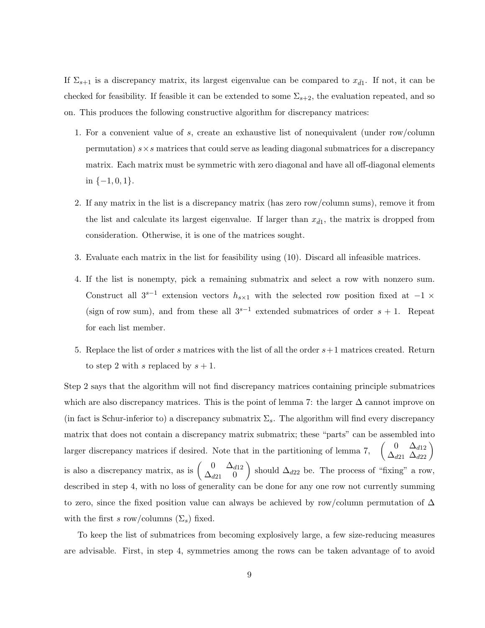If  $\Sigma_{s+1}$  is a discrepancy matrix, its largest eigenvalue can be compared to  $x_{\bar{d}1}$ . If not, it can be checked for feasibility. If feasible it can be extended to some  $\Sigma_{s+2}$ , the evaluation repeated, and so on. This produces the following constructive algorithm for discrepancy matrices:

- 1. For a convenient value of s, create an exhaustive list of nonequivalent (under row/column permutation)  $s \times s$  matrices that could serve as leading diagonal submatrices for a discrepancy matrix. Each matrix must be symmetric with zero diagonal and have all off-diagonal elements in  $\{-1,0,1\}$ .
- 2. If any matrix in the list is a discrepancy matrix (has zero row/column sums), remove it from the list and calculate its largest eigenvalue. If larger than  $x_{\bar{d}1}$ , the matrix is dropped from consideration. Otherwise, it is one of the matrices sought.
- 3. Evaluate each matrix in the list for feasibility using (10). Discard all infeasible matrices.
- 4. If the list is nonempty, pick a remaining submatrix and select a row with nonzero sum. Construct all  $3^{s-1}$  extension vectors  $h_{s\times 1}$  with the selected row position fixed at  $-1 \times$ (sign of row sum), and from these all  $3^{s-1}$  extended submatrices of order  $s + 1$ . Repeat for each list member.
- 5. Replace the list of order s matrices with the list of all the order  $s+1$  matrices created. Return to step 2 with s replaced by  $s + 1$ .

Step 2 says that the algorithm will not find discrepancy matrices containing principle submatrices which are also discrepancy matrices. This is the point of lemma 7: the larger  $\Delta$  cannot improve on (in fact is Schur-inferior to) a discrepancy submatrix  $\Sigma_s$ . The algorithm will find every discrepancy matrix that does not contain a discrepancy matrix submatrix; these "parts" can be assembled into larger discrepancy matrices if desired. Note that in the partitioning of lemma 7,  $\begin{pmatrix} 0 & \Delta_{d12} \\ \Delta_{d21} & \Delta_{d22} \end{pmatrix}$ is also a discrepancy matrix, as is  $\begin{pmatrix} 0 & \Delta_{d12} \\ \Delta_{12} & 0 \end{pmatrix}$  $\Delta_{d21}^{0}$   $\Delta_{d12}^{d12}$  should  $\Delta_{d22}$  be. The process of "fixing" a row, described in step 4, with no loss of generality can be done for any one row not currently summing to zero, since the fixed position value can always be achieved by row/column permutation of ∆ with the first s row/columns  $(\Sigma_s)$  fixed.

To keep the list of submatrices from becoming explosively large, a few size-reducing measures are advisable. First, in step 4, symmetries among the rows can be taken advantage of to avoid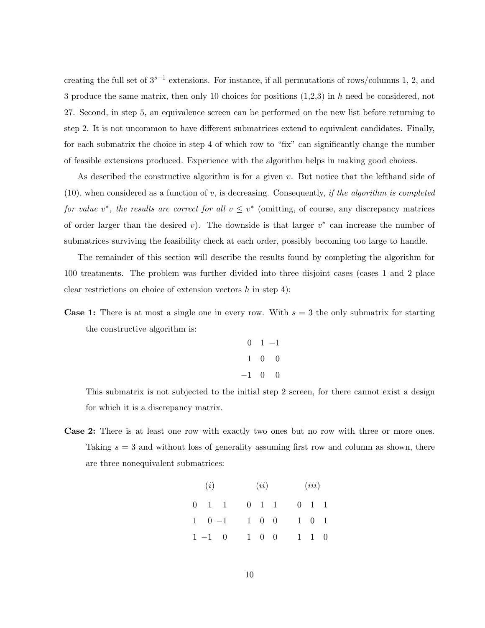creating the full set of  $3^{s-1}$  extensions. For instance, if all permutations of rows/columns 1, 2, and 3 produce the same matrix, then only 10 choices for positions  $(1,2,3)$  in h need be considered, not 27. Second, in step 5, an equivalence screen can be performed on the new list before returning to step 2. It is not uncommon to have different submatrices extend to equivalent candidates. Finally, for each submatrix the choice in step 4 of which row to "fix" can significantly change the number of feasible extensions produced. Experience with the algorithm helps in making good choices.

As described the constructive algorithm is for a given v. But notice that the lefthand side of  $(10)$ , when considered as a function of v, is decreasing. Consequently, if the algorithm is completed for value v<sup>\*</sup>, the results are correct for all  $v \leq v^*$  (omitting, of course, any discrepancy matrices of order larger than the desired v). The downside is that larger  $v^*$  can increase the number of submatrices surviving the feasibility check at each order, possibly becoming too large to handle.

The remainder of this section will describe the results found by completing the algorithm for 100 treatments. The problem was further divided into three disjoint cases (cases 1 and 2 place clear restrictions on choice of extension vectors  $h$  in step 4):

**Case 1:** There is at most a single one in every row. With  $s = 3$  the only submatrix for starting the constructive algorithm is:

$$
\begin{array}{ccc}\n0 & 1 & -1 \\
1 & 0 & 0 \\
-1 & 0 & 0\n\end{array}
$$

This submatrix is not subjected to the initial step 2 screen, for there cannot exist a design for which it is a discrepancy matrix.

Case 2: There is at least one row with exactly two ones but no row with three or more ones. Taking  $s = 3$  and without loss of generality assuming first row and column as shown, there are three nonequivalent submatrices:

| (i)                 |  | (ii)                |  | (iii)               |  |
|---------------------|--|---------------------|--|---------------------|--|
| $0 \quad 1 \quad 1$ |  | $0 \quad 1 \quad 1$ |  | $0 \quad 1 \quad 1$ |  |
| $1 \t 0 \t -1$      |  | $1 \quad 0 \quad 0$ |  | $1\quad 0\quad 1$   |  |
| $1 -1 0$            |  | $1 \quad 0 \quad 0$ |  | $1 \quad 1 \quad 0$ |  |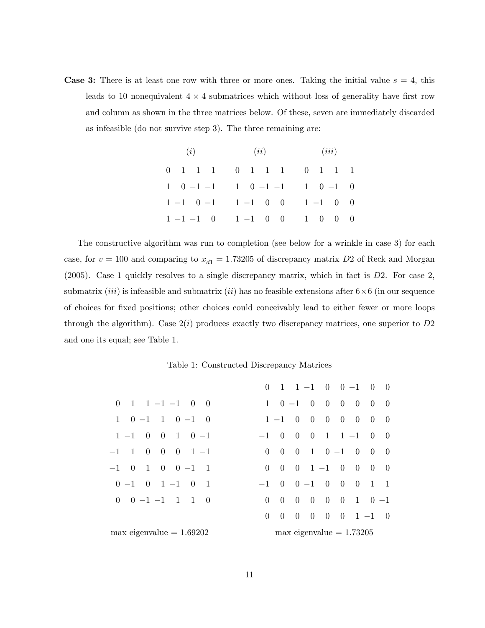**Case 3:** There is at least one row with three or more ones. Taking the initial value  $s = 4$ , this leads to 10 nonequivalent  $4 \times 4$  submatrices which without loss of generality have first row and column as shown in the three matrices below. Of these, seven are immediately discarded as infeasible (do not survive step 3). The three remaining are:

| (i) | (ii)                                                                                               | (iii) |  |  |  |  |
|-----|----------------------------------------------------------------------------------------------------|-------|--|--|--|--|
|     | 0 1 1 1 0 1 1 1 0 1 1 1                                                                            |       |  |  |  |  |
|     | $1 \quad 0 \quad -1 \quad -1 \qquad 1 \quad 0 \quad -1 \quad -1 \qquad 1 \quad 0 \quad -1 \quad 0$ |       |  |  |  |  |
|     | $1 -1 0 -1 1 -1 0 0 1 -1 0 0$                                                                      |       |  |  |  |  |
|     | $1 - 1 - 1$ 0 $1 - 1$ 0 0 1 0 0 0                                                                  |       |  |  |  |  |

The constructive algorithm was run to completion (see below for a wrinkle in case 3) for each case, for  $v = 100$  and comparing to  $x_{\bar{d}1} = 1.73205$  of discrepancy matrix D2 of Reck and Morgan  $(2005)$ . Case 1 quickly resolves to a single discrepancy matrix, which in fact is D2. For case 2, submatrix (*iii*) is infeasible and submatrix (*ii*) has no feasible extensions after  $6 \times 6$  (in our sequence of choices for fixed positions; other choices could conceivably lead to either fewer or more loops through the algorithm). Case  $2(i)$  produces exactly two discrepancy matrices, one superior to  $D2$ and one its equal; see Table 1.

#### Table 1: Constructed Discrepancy Matrices

|                                                              |                       |                |  |  |  | $0 \quad 1 \quad 1 \quad -1 \quad 0 \quad 0 \quad -1 \quad 0 \quad 0$ |  |  |
|--------------------------------------------------------------|-----------------------|----------------|--|--|--|-----------------------------------------------------------------------|--|--|
| $0 \quad 1 \quad 1 \quad -1 \quad -1 \quad 0 \quad 0$        |                       |                |  |  |  | $1 \t 0 \t -1 \t 0 \t 0 \t 0 \t 0 \t 0 \t 0$                          |  |  |
| $1 \t 0 \t -1 \t 1 \t 0 \t -1 \t 0$                          |                       |                |  |  |  | $1 - 1$ 0 0 0 0 0 0 0                                                 |  |  |
| $1 - 1$ 0 0 1 0 -1                                           | $-1$ 0 0 0 1 1 -1 0 0 |                |  |  |  |                                                                       |  |  |
| $-1$ 1 0 0 0 1 -1                                            | $\Omega$              |                |  |  |  | $0 \t 0 \t 1 \t 0 \t -1 \t 0 \t 0 \t 0$                               |  |  |
| $-1$ 0<br>$1 \t 0 \t 0 -1$<br>$\blacksquare$                 |                       |                |  |  |  | $0 \t 0 \t 0 \t 1 \t -1 \t 0 \t 0 \t 0 \t 0$                          |  |  |
| $0 -1 \quad 0 \quad 1 -1 \quad 0 \quad 1$                    | $-1$ 0 0 -1 0 0 0 1 1 |                |  |  |  |                                                                       |  |  |
| $0 \t 0 \t -1 \t -1 \t 1 \t 1 \t 0$                          |                       |                |  |  |  | $0 \t 0 \t 0 \t 0 \t 0 \t 1 \t 0 -1$                                  |  |  |
|                                                              | $\overline{0}$        | $\overline{0}$ |  |  |  | $0 \t 0 \t 0 \t 1 \t -1 \t 0$                                         |  |  |
| $max$ eigenvalue = $1.69202$<br>$max$ eigenvalue $= 1.73205$ |                       |                |  |  |  |                                                                       |  |  |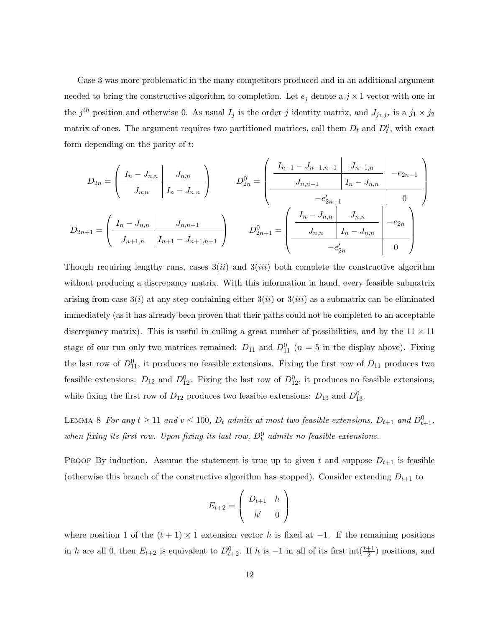Case 3 was more problematic in the many competitors produced and in an additional argument needed to bring the constructive algorithm to completion. Let  $e_j$  denote a  $j \times 1$  vector with one in the  $j<sup>th</sup>$  position and otherwise 0. As usual  $I_j$  is the order j identity matrix, and  $J_{j_1,j_2}$  is a  $j_1 \times j_2$ matrix of ones. The argument requires two partitioned matrices, call them  $D_t$  and  $D_t^0$ , with exact form depending on the parity of t:

$$
D_{2n} = \left(\begin{array}{c|c} I_n - J_{n,n} & J_{n,n} \\ \hline J_{n,n} & I_n - J_{n,n} \end{array}\right) \qquad D_{2n}^0 = \left(\begin{array}{c|c} I_{n-1} - J_{n-1,n-1} & J_{n-1,n} \\ \hline J_{n,n-1} & I_n - J_{n,n} \\ \hline J_{n,n-1} & J_n - J_{n,n} \end{array}\right) - e_{2n-1}^0
$$
  

$$
D_{2n+1} = \left(\begin{array}{c|c} I_n - J_{n,n} & J_{n,n+1} \\ \hline J_{n+1,n} & I_{n+1} - J_{n+1,n+1} \end{array}\right) \qquad D_{2n+1}^0 = \left(\begin{array}{c|c} I_n - J_{n,n} & J_{n,n} \\ \hline J_{n,n} & I_n - J_{n,n} \\ \hline J_{n,n} & I_n - J_{n,n} \end{array}\right) - e_{2n}^0
$$

Though requiring lengthy runs, cases  $3(ii)$  and  $3(iii)$  both complete the constructive algorithm without producing a discrepancy matrix. With this information in hand, every feasible submatrix arising from case  $3(i)$  at any step containing either  $3(ii)$  or  $3(iii)$  as a submatrix can be eliminated immediately (as it has already been proven that their paths could not be completed to an acceptable discrepancy matrix). This is useful in culling a great number of possibilities, and by the  $11 \times 11$ stage of our run only two matrices remained:  $D_{11}$  and  $D_{11}^0$  ( $n=5$  in the display above). Fixing the last row of  $D_{11}^0$ , it produces no feasible extensions. Fixing the first row of  $D_{11}$  produces two feasible extensions:  $D_{12}$  and  $D_{12}^0$ . Fixing the last row of  $D_{12}^0$ , it produces no feasible extensions, while fixing the first row of  $D_{12}$  produces two feasible extensions:  $D_{13}$  and  $D_{13}^0$ .

LEMMA 8 For any  $t \ge 11$  and  $v \le 100$ ,  $D_t$  admits at most two feasible extensions,  $D_{t+1}$  and  $D_{t+1}^0$ , when fixing its first row. Upon fixing its last row,  $D_t^0$  admits no feasible extensions.

PROOF By induction. Assume the statement is true up to given t and suppose  $D_{t+1}$  is feasible (otherwise this branch of the constructive algorithm has stopped). Consider extending  $D_{t+1}$  to

$$
E_{t+2} = \left(\begin{array}{cc} D_{t+1} & h \\ h' & 0 \end{array}\right)
$$

where position 1 of the  $(t + 1) \times 1$  extension vector h is fixed at -1. If the remaining positions in h are all 0, then  $E_{t+2}$  is equivalent to  $D_{t+2}^0$ . If h is -1 in all of its first int $(\frac{t+1}{2})$  positions, and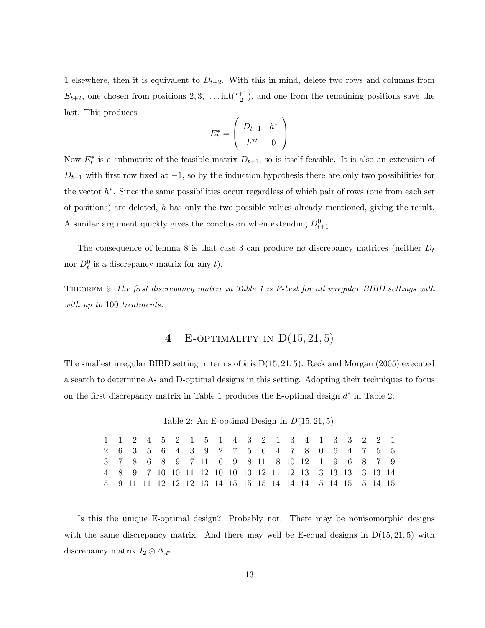1 elsewhere, then it is equivalent to  $D_{t+2}$ . With this in mind, delete two rows and columns from  $E_{t+2}$ , one chosen from positions  $2, 3, \ldots$ , int $(\frac{t+1}{2})$ , and one from the remaining positions save the last. This produces  $\overline{\phantom{a}}$  $\mathbf{r}$ 

$$
E_t^* = \left(\begin{array}{cc} D_{t-1} & h^* \\ h^{*'} & 0 \end{array}\right)
$$

Now  $E_t^*$  is a submatrix of the feasible matrix  $D_{t+1}$ , so is itself feasible. It is also an extension of  $D_{t-1}$  with first row fixed at  $-1$ , so by the induction hypothesis there are only two possibilities for the vector  $h^*$ . Since the same possibilities occur regardless of which pair of rows (one from each set of positions) are deleted, h has only the two possible values already mentioned, giving the result. A similar argument quickly gives the conclusion when extending  $D_{t+1}^0$ .

The consequence of lemma 8 is that case 3 can produce no discrepancy matrices (neither  $D_t$ nor  $D_t^0$  is a discrepancy matrix for any t).

THEOREM 9 The first discrepancy matrix in Table 1 is E-best for all irregular BIBD settings with with up to 100 treatments.

# 4 E-OPTIMALITY IN  $D(15, 21, 5)$

The smallest irregular BIBD setting in terms of k is  $D(15, 21, 5)$ . Reck and Morgan (2005) executed a search to determine A- and D-optimal designs in this setting. Adopting their techniques to focus on the first discrepancy matrix in Table 1 produces the E-optimal design  $d^*$  in Table 2.

Table 2: An E-optimal Design In  $D(15, 21, 5)$ 

1 1 2 4 5 2 1 5 1 4 3 2 1 3 4 1 3 3 2 2 1 2 6 3 5 6 4 3 9 2 7 5 6 4 7 8 10 6 4 7 5 5 3 7 8 6 8 9 7 11 6 9 8 11 8 10 12 11 9 6 8 7 9 4 8 9 7 10 10 11 12 10 10 10 12 11 12 13 13 13 13 13 13 14 5 9 11 11 12 12 12 13 14 15 15 15 14 14 14 15 14 15 15 14 15

Is this the unique E-optimal design? Probably not. There may be nonisomorphic designs with the same discrepancy matrix. And there may well be E-equal designs in  $D(15, 21, 5)$  with discrepancy matrix  $I_2 \otimes \Delta_{d^*}$ .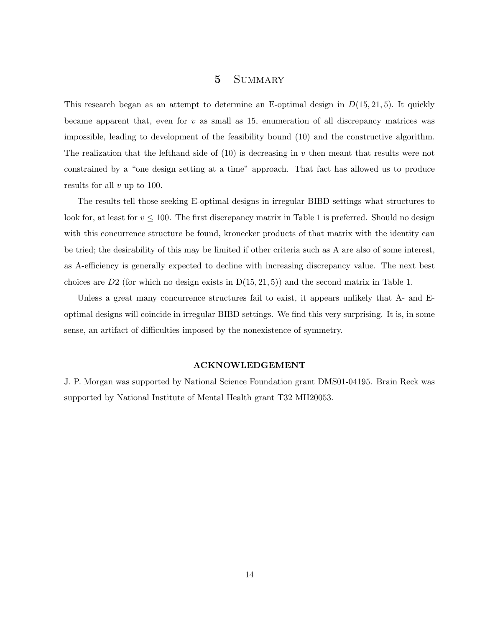# 5 Summary

This research began as an attempt to determine an E-optimal design in  $D(15, 21, 5)$ . It quickly became apparent that, even for  $v$  as small as 15, enumeration of all discrepancy matrices was impossible, leading to development of the feasibility bound (10) and the constructive algorithm. The realization that the lefthand side of  $(10)$  is decreasing in v then meant that results were not constrained by a "one design setting at a time" approach. That fact has allowed us to produce results for all v up to 100.

The results tell those seeking E-optimal designs in irregular BIBD settings what structures to look for, at least for  $v \leq 100$ . The first discrepancy matrix in Table 1 is preferred. Should no design with this concurrence structure be found, kronecker products of that matrix with the identity can be tried; the desirability of this may be limited if other criteria such as A are also of some interest, as A-efficiency is generally expected to decline with increasing discrepancy value. The next best choices are  $D2$  (for which no design exists in  $D(15, 21, 5)$ ) and the second matrix in Table 1.

Unless a great many concurrence structures fail to exist, it appears unlikely that A- and Eoptimal designs will coincide in irregular BIBD settings. We find this very surprising. It is, in some sense, an artifact of difficulties imposed by the nonexistence of symmetry.

#### ACKNOWLEDGEMENT

J. P. Morgan was supported by National Science Foundation grant DMS01-04195. Brain Reck was supported by National Institute of Mental Health grant T32 MH20053.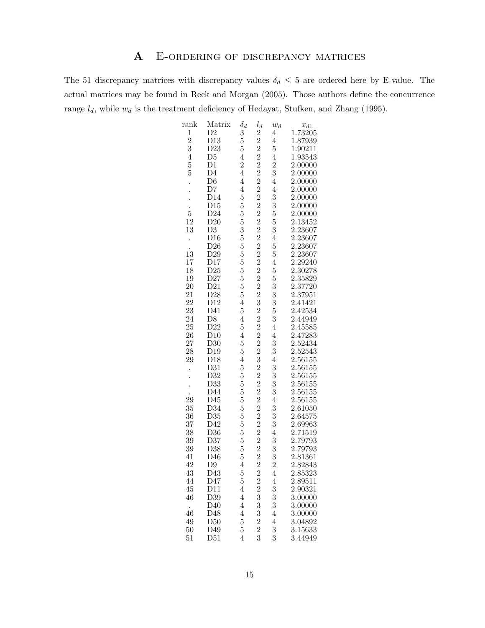# A E-ordering of discrepancy matrices

The 51 discrepancy matrices with discrepancy values  $\delta_d \leq 5$  are ordered here by E-value. The actual matrices may be found in Reck and Morgan (2005). Those authors define the concurrence range  $l_d$ , while  $w_d$  is the treatment deficiency of Hedayat, Stufken, and Zhang (1995).

| rank            | Matrix          | $\delta_d$     |                                                 |                |                    |
|-----------------|-----------------|----------------|-------------------------------------------------|----------------|--------------------|
|                 |                 |                | $l_d$                                           | $w_d$          | $x_{d1}$           |
| $\frac{1}{2}$   | D <sub>2</sub>  | 3              | $\frac{2}{2}$                                   | $\overline{4}$ | 1.73205            |
|                 | D13             | 5              |                                                 | $\overline{4}$ | 1.87939            |
| 3               | D23             | $\overline{5}$ | $\frac{2}{2}$                                   | 5              | 1.90211            |
| $\overline{4}$  | D <sub>5</sub>  | $\overline{4}$ |                                                 | $\overline{4}$ | 1.93543            |
| $\overline{5}$  | $\rm D1$        | $\overline{2}$ | $\overline{2}$                                  | $\overline{2}$ | 2.00000            |
| $\overline{5}$  | $\overline{D4}$ | $\overline{4}$ |                                                 | 3              | 2.00000            |
|                 |                 |                | $\frac{2}{2}$                                   |                |                    |
|                 | D <sub>6</sub>  | $\overline{4}$ |                                                 | $\overline{4}$ | 2.00000            |
|                 | D7              | $\overline{4}$ |                                                 | $\overline{4}$ | 2.00000            |
|                 | D14             | $\overline{5}$ | $\frac{2}{2}$                                   | 3              | 2.00000            |
|                 | D15             | 5              |                                                 | 3              | 2.00000            |
| $\overline{5}$  | D24             | 5              |                                                 | $\overline{5}$ | 2.00000            |
| 12              | D20             | 5              |                                                 | 5              | 2.13452            |
|                 |                 |                | $\begin{smallmatrix}2\2\2\2\2\end{smallmatrix}$ |                |                    |
| 13              | D <sub>3</sub>  | 3              |                                                 | 3              | 2.23607            |
|                 | D16             | $\overline{5}$ |                                                 | $\overline{4}$ | 2.23607            |
|                 | D26             | 5              |                                                 | 5              | 2.23607            |
| $\frac{1}{13}$  | D29             | $\overline{5}$ |                                                 | 5              | 2.23607            |
| 17              | D17             | 5              |                                                 | $\overline{4}$ | 2.29240            |
| 18              | D25             | $\overline{5}$ |                                                 | $\overline{5}$ | 2.30278            |
| 19              | D27             | $\overline{5}$ |                                                 | $\overline{5}$ | 2.35829            |
| 20              |                 | 5              |                                                 | 3              | 2.37720            |
|                 | D21             |                |                                                 |                |                    |
| 21              | D28             | 5              | $\frac{2}{2}$ $\frac{2}{2}$ $\frac{2}{3}$       | 3              | 2.37951            |
| 22              | D12             | $\overline{4}$ |                                                 | 3              | 2.41421<br>2.42534 |
| 23              | D41             | $\overline{5}$ | $\frac{2}{2}$                                   | $\overline{5}$ |                    |
| 24              | D8              | $\overline{4}$ |                                                 | 3              | 2.44949            |
| 25              | D22             | 5              |                                                 | $\overline{4}$ | 2.45585            |
| 26              | D10             | $\overline{4}$ | $\begin{smallmatrix}2\2\2\2\3\end{smallmatrix}$ | $\overline{4}$ | 2.47283            |
| 27              | D30             | 5              |                                                 | 3              | 2.52434            |
|                 | D19             | 5              |                                                 | 3              | 2.52543            |
| $\frac{28}{29}$ |                 |                |                                                 |                |                    |
|                 | D18             | $\overline{4}$ |                                                 | $\overline{4}$ | 2.56155            |
|                 | D31             | 5              |                                                 | 3              | 2.56155            |
|                 | D32             | 5              |                                                 | 3              | 2.56155            |
|                 | D <sub>33</sub> | 5              |                                                 | 3              | 2.56155            |
|                 | D44             | 5              |                                                 | 3              | 2.56155            |
| $\frac{1}{29}$  | D45             | 5              | $\begin{smallmatrix}2\2\2\2\2\end{smallmatrix}$ | $\overline{4}$ | 2.56155            |
| 35              | D34             | 5              |                                                 | 3              | 2.61050            |
| 36              | D35             | 5              |                                                 | 3              | 2.64575            |
|                 | D42             | 5              |                                                 | 3              |                    |
| 37              |                 |                | $2\,2\,2\,2\,2\,2\,2$                           |                | 2.69963            |
| 38              | D36             | 5              |                                                 | $\overline{4}$ | 2.71519            |
| 39              | D37             | $\overline{5}$ |                                                 | 3              | 2.79793            |
| 39              | D38             | 5              |                                                 |                | 2.79793            |
| 41              | D46             | 5              |                                                 | $\frac{3}{2}$  | 2.81361            |
| 42              | D <sub>9</sub>  | $\overline{4}$ |                                                 |                | 2.82843            |
| 43              | D43             | 5              | $\overline{2}$                                  | $\overline{4}$ | 2.85323            |
| 44              | D47             | $\overline{5}$ |                                                 | $\overline{4}$ | 2.89511            |
| 45              | D11             | $\overline{4}$ |                                                 |                | 2.90321            |
|                 |                 |                |                                                 | $\frac{3}{3}$  |                    |
| 46              | D39             | $\overline{4}$ |                                                 |                | 3.00000            |
| $\cdot$         | D40             | $\overline{4}$ |                                                 | 3              | 3.00000            |
| 46              | D48             | $\overline{4}$ |                                                 | $\overline{4}$ | 3.00000            |
| 49              | D50             | $\overline{5}$ |                                                 | $\overline{4}$ | 3.04892            |
| 50              | D49             | 5              |                                                 | 3              | 3.15633            |
| 51              | D51             | $\overline{4}$ | $2\,2\,3\,3\,3\,2\,2\,3$                        | 3              | 3.44949            |